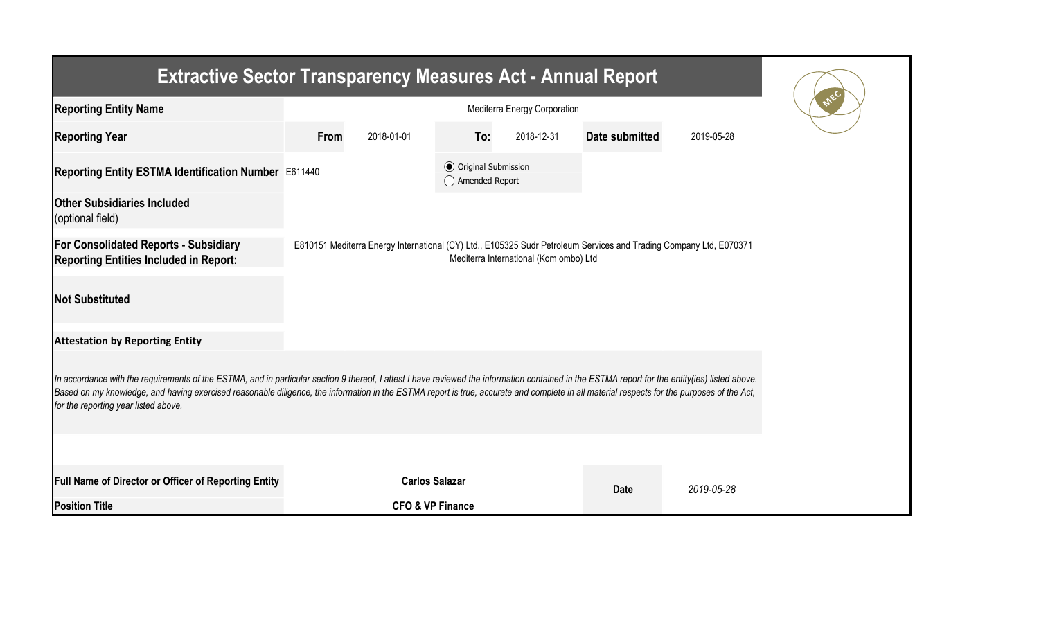| <b>Extractive Sector Transparency Measures Act - Annual Report</b>                                                                                                                                                                                                                                                                                                                                                                    |                                                                                                                                                              |                             |                                                  |            |                |            |  |  |  |  |  |
|---------------------------------------------------------------------------------------------------------------------------------------------------------------------------------------------------------------------------------------------------------------------------------------------------------------------------------------------------------------------------------------------------------------------------------------|--------------------------------------------------------------------------------------------------------------------------------------------------------------|-----------------------------|--------------------------------------------------|------------|----------------|------------|--|--|--|--|--|
| <b>Reporting Entity Name</b>                                                                                                                                                                                                                                                                                                                                                                                                          |                                                                                                                                                              |                             |                                                  |            |                |            |  |  |  |  |  |
| <b>Reporting Year</b>                                                                                                                                                                                                                                                                                                                                                                                                                 | From                                                                                                                                                         | 2018-01-01                  | To:                                              | 2018-12-31 | Date submitted | 2019-05-28 |  |  |  |  |  |
| Reporting Entity ESTMA Identification Number E611440                                                                                                                                                                                                                                                                                                                                                                                  |                                                                                                                                                              |                             | <b>⊙</b> Original Submission<br>◯ Amended Report |            |                |            |  |  |  |  |  |
| <b>Other Subsidiaries Included</b><br>(optional field)                                                                                                                                                                                                                                                                                                                                                                                |                                                                                                                                                              |                             |                                                  |            |                |            |  |  |  |  |  |
| <b>For Consolidated Reports - Subsidiary</b><br><b>Reporting Entities Included in Report:</b>                                                                                                                                                                                                                                                                                                                                         | E810151 Mediterra Energy International (CY) Ltd., E105325 Sudr Petroleum Services and Trading Company Ltd, E070371<br>Mediterra International (Kom ombo) Ltd |                             |                                                  |            |                |            |  |  |  |  |  |
| <b>Not Substituted</b>                                                                                                                                                                                                                                                                                                                                                                                                                |                                                                                                                                                              |                             |                                                  |            |                |            |  |  |  |  |  |
| <b>Attestation by Reporting Entity</b>                                                                                                                                                                                                                                                                                                                                                                                                |                                                                                                                                                              |                             |                                                  |            |                |            |  |  |  |  |  |
| In accordance with the requirements of the ESTMA, and in particular section 9 thereof, I attest I have reviewed the information contained in the ESTMA report for the entity(ies) listed above.<br>Based on my knowledge, and having exercised reasonable diligence, the information in the ESTMA report is true, accurate and complete in all material respects for the purposes of the Act,<br>for the reporting year listed above. |                                                                                                                                                              |                             |                                                  |            |                |            |  |  |  |  |  |
|                                                                                                                                                                                                                                                                                                                                                                                                                                       |                                                                                                                                                              |                             |                                                  |            |                |            |  |  |  |  |  |
| <b>Full Name of Director or Officer of Reporting Entity</b>                                                                                                                                                                                                                                                                                                                                                                           |                                                                                                                                                              | <b>Carlos Salazar</b>       |                                                  |            | <b>Date</b>    | 2019-05-28 |  |  |  |  |  |
| <b>Position Title</b>                                                                                                                                                                                                                                                                                                                                                                                                                 |                                                                                                                                                              | <b>CFO &amp; VP Finance</b> |                                                  |            |                |            |  |  |  |  |  |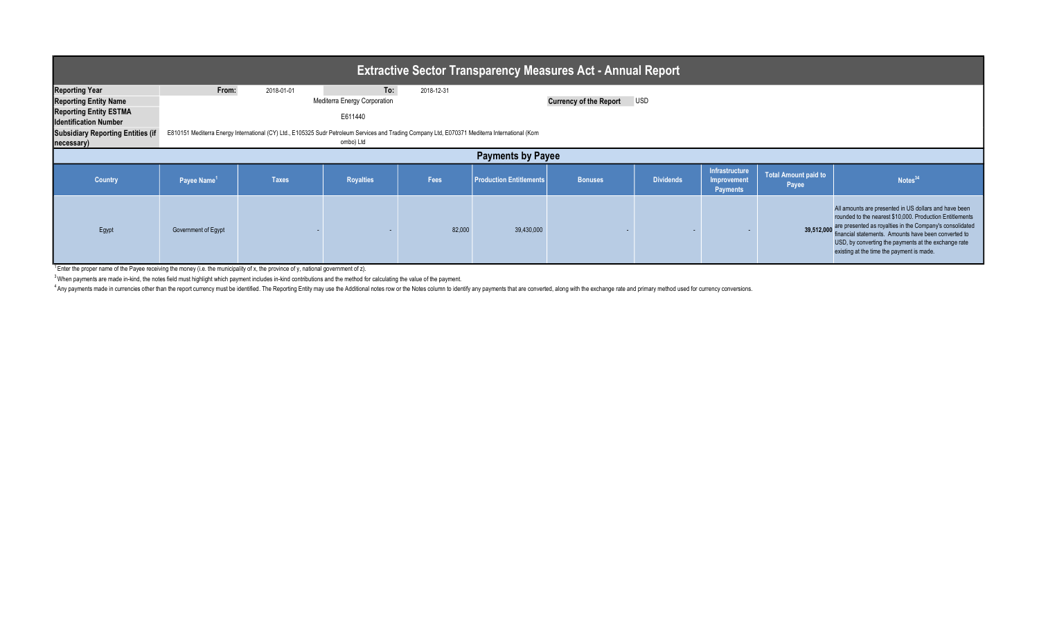| <b>Extractive Sector Transparency Measures Act - Annual Report</b>                                                                                                               |                         |                                                                                                                                                               |                                                                    |            |                         |                               |                  |                                                  |                                      |                                                                                                                                                                                                                                                                                                                                            |  |
|----------------------------------------------------------------------------------------------------------------------------------------------------------------------------------|-------------------------|---------------------------------------------------------------------------------------------------------------------------------------------------------------|--------------------------------------------------------------------|------------|-------------------------|-------------------------------|------------------|--------------------------------------------------|--------------------------------------|--------------------------------------------------------------------------------------------------------------------------------------------------------------------------------------------------------------------------------------------------------------------------------------------------------------------------------------------|--|
| <b>Reporting Year</b><br><b>Reporting Entity Name</b><br><b>Reporting Entity ESTMA</b><br><b>Identification Number</b><br><b>Subsidiary Reporting Entities (if</b><br>necessary) | From:                   | 2018-01-01<br>E810151 Mediterra Energy International (CY) Ltd., E105325 Sudr Petroleum Services and Trading Company Ltd, E070371 Mediterra International (Kom | To:<br><b>Mediterra Energy Corporation</b><br>E611440<br>ombo) Ltd | 2018-12-31 |                         | <b>Currency of the Report</b> | <b>USD</b>       |                                                  |                                      |                                                                                                                                                                                                                                                                                                                                            |  |
| <b>Payments by Payee</b>                                                                                                                                                         |                         |                                                                                                                                                               |                                                                    |            |                         |                               |                  |                                                  |                                      |                                                                                                                                                                                                                                                                                                                                            |  |
| <b>Country</b>                                                                                                                                                                   | Payee Name <sup>1</sup> | Taxes                                                                                                                                                         | <b>Royalties</b>                                                   | Fees       | Production Entitlements | <b>Bonuses</b>                | <b>Dividends</b> | Infrastructure<br>Improvement<br><b>Payments</b> | <b>Total Amount paid to</b><br>Payee | Notes <sup>34</sup>                                                                                                                                                                                                                                                                                                                        |  |
| Egypt                                                                                                                                                                            | Government of Egypt     |                                                                                                                                                               |                                                                    | 82,000     | 39,430,000              |                               |                  |                                                  | 39,512,000                           | All amounts are presented in US dollars and have been<br>rounded to the nearest \$10,000. Production Entitlements<br>are presented as royalties in the Company's consolidated<br>financial statements. Amounts have been converted to<br>USD, by converting the payments at the exchange rate<br>existing at the time the payment is made. |  |

<sup>1</sup>Enter the proper name of the Payee receiving the money (i.e. the municipality of x, the province of y, national government of z).

<sup>3</sup> When payments are made in-kind, the notes field must highlight which payment includes in-kind contributions and the method for calculating the value of the payment.

Any payments made in currencies other than the report currency must be identified. The Reporting Entity may use the Additional notes row or the Notes column to identify any payments that are converted, along with the excha